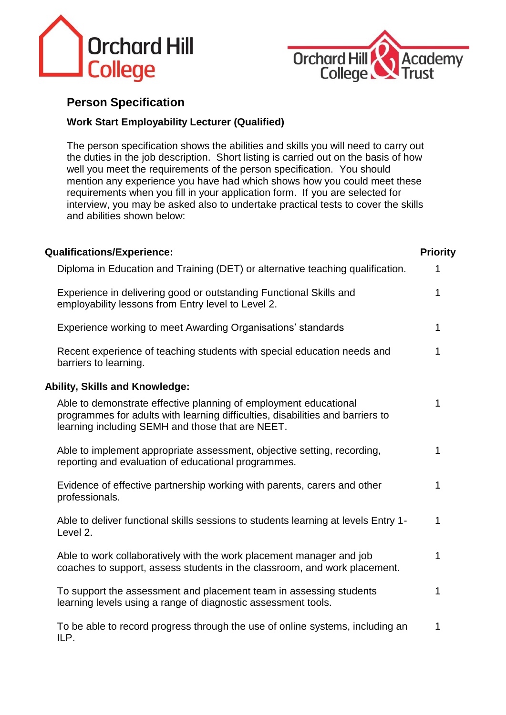



## **Person Specification**

## **Work Start Employability Lecturer (Qualified)**

The person specification shows the abilities and skills you will need to carry out the duties in the job description. Short listing is carried out on the basis of how well you meet the requirements of the person specification. You should mention any experience you have had which shows how you could meet these requirements when you fill in your application form. If you are selected for interview, you may be asked also to undertake practical tests to cover the skills and abilities shown below:

| <b>Qualifications/Experience:</b>                                                                                                                                                                      | <b>Priority</b> |
|--------------------------------------------------------------------------------------------------------------------------------------------------------------------------------------------------------|-----------------|
| Diploma in Education and Training (DET) or alternative teaching qualification.                                                                                                                         | 1               |
| Experience in delivering good or outstanding Functional Skills and<br>employability lessons from Entry level to Level 2.                                                                               | 1               |
| Experience working to meet Awarding Organisations' standards                                                                                                                                           | 1               |
| Recent experience of teaching students with special education needs and<br>barriers to learning.                                                                                                       | 1               |
| <b>Ability, Skills and Knowledge:</b>                                                                                                                                                                  |                 |
| Able to demonstrate effective planning of employment educational<br>programmes for adults with learning difficulties, disabilities and barriers to<br>learning including SEMH and those that are NEET. | 1               |
| Able to implement appropriate assessment, objective setting, recording,<br>reporting and evaluation of educational programmes.                                                                         | 1               |
| Evidence of effective partnership working with parents, carers and other<br>professionals.                                                                                                             | 1               |
| Able to deliver functional skills sessions to students learning at levels Entry 1-<br>Level 2.                                                                                                         | 1               |
| Able to work collaboratively with the work placement manager and job<br>coaches to support, assess students in the classroom, and work placement.                                                      | 1               |
| To support the assessment and placement team in assessing students<br>learning levels using a range of diagnostic assessment tools.                                                                    | 1               |
| To be able to record progress through the use of online systems, including an<br>ILP.                                                                                                                  | 1               |